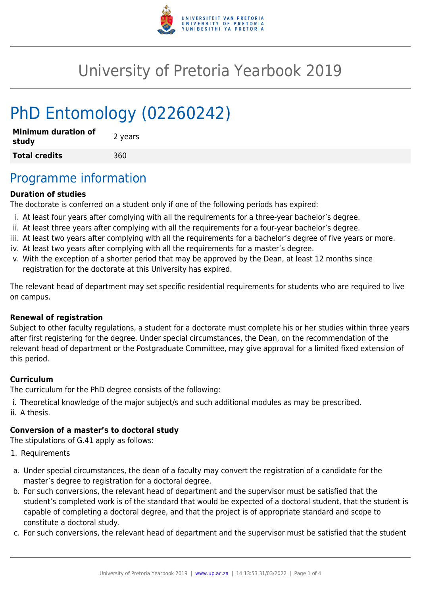

# University of Pretoria Yearbook 2019

# PhD Entomology (02260242)

| <b>Minimum duration of</b><br>study | 2 years |
|-------------------------------------|---------|
| <b>Total credits</b>                | 360     |

### Programme information

#### **Duration of studies**

The doctorate is conferred on a student only if one of the following periods has expired:

- i. At least four years after complying with all the requirements for a three-year bachelor's degree.
- ii. At least three years after complying with all the requirements for a four-year bachelor's degree.
- iii. At least two years after complying with all the requirements for a bachelor's degree of five years or more.
- iv. At least two years after complying with all the requirements for a master's degree.
- v. With the exception of a shorter period that may be approved by the Dean, at least 12 months since registration for the doctorate at this University has expired.

The relevant head of department may set specific residential requirements for students who are required to live on campus.

#### **Renewal of registration**

Subject to other faculty regulations, a student for a doctorate must complete his or her studies within three years after first registering for the degree. Under special circumstances, the Dean, on the recommendation of the relevant head of department or the Postgraduate Committee, may give approval for a limited fixed extension of this period.

#### **Curriculum**

The curriculum for the PhD degree consists of the following:

- i. Theoretical knowledge of the major subject/s and such additional modules as may be prescribed.
- ii. A thesis.

#### **Conversion of a master's to doctoral study**

The stipulations of G.41 apply as follows:

- 1. Requirements
- a. Under special circumstances, the dean of a faculty may convert the registration of a candidate for the master's degree to registration for a doctoral degree.
- b. For such conversions, the relevant head of department and the supervisor must be satisfied that the student's completed work is of the standard that would be expected of a doctoral student, that the student is capable of completing a doctoral degree, and that the project is of appropriate standard and scope to constitute a doctoral study.
- c. For such conversions, the relevant head of department and the supervisor must be satisfied that the student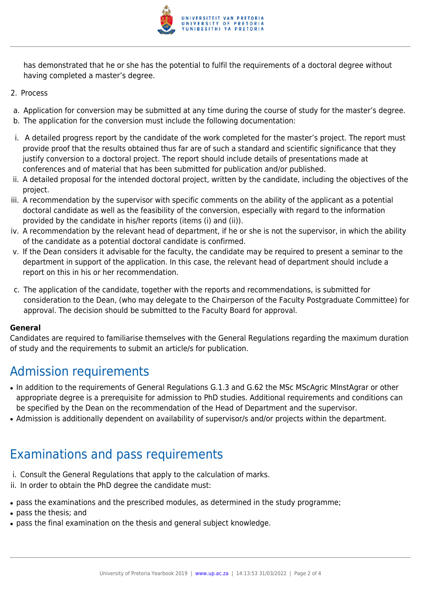

has demonstrated that he or she has the potential to fulfil the requirements of a doctoral degree without having completed a master's degree.

- 2. Process
- a. Application for conversion may be submitted at any time during the course of study for the master's degree.
- b. The application for the conversion must include the following documentation:
- i. A detailed progress report by the candidate of the work completed for the master's project. The report must provide proof that the results obtained thus far are of such a standard and scientific significance that they justify conversion to a doctoral project. The report should include details of presentations made at conferences and of material that has been submitted for publication and/or published.
- ii. A detailed proposal for the intended doctoral project, written by the candidate, including the objectives of the project.
- iii. A recommendation by the supervisor with specific comments on the ability of the applicant as a potential doctoral candidate as well as the feasibility of the conversion, especially with regard to the information provided by the candidate in his/her reports (items (i) and (ii)).
- iv. A recommendation by the relevant head of department, if he or she is not the supervisor, in which the ability of the candidate as a potential doctoral candidate is confirmed.
- v. If the Dean considers it advisable for the faculty, the candidate may be required to present a seminar to the department in support of the application. In this case, the relevant head of department should include a report on this in his or her recommendation.
- c. The application of the candidate, together with the reports and recommendations, is submitted for consideration to the Dean, (who may delegate to the Chairperson of the Faculty Postgraduate Committee) for approval. The decision should be submitted to the Faculty Board for approval.

#### **General**

Candidates are required to familiarise themselves with the General Regulations regarding the maximum duration of study and the requirements to submit an article/s for publication.

## Admission requirements

- In addition to the requirements of General Regulations G.1.3 and G.62 the MSc MScAgric MInstAgrar or other appropriate degree is a prerequisite for admission to PhD studies. Additional requirements and conditions can be specified by the Dean on the recommendation of the Head of Department and the supervisor.
- Admission is additionally dependent on availability of supervisor/s and/or projects within the department.

## Examinations and pass requirements

- i. Consult the General Regulations that apply to the calculation of marks.
- ii. In order to obtain the PhD degree the candidate must:
- pass the examinations and the prescribed modules, as determined in the study programme;
- pass the thesis; and
- pass the final examination on the thesis and general subject knowledge.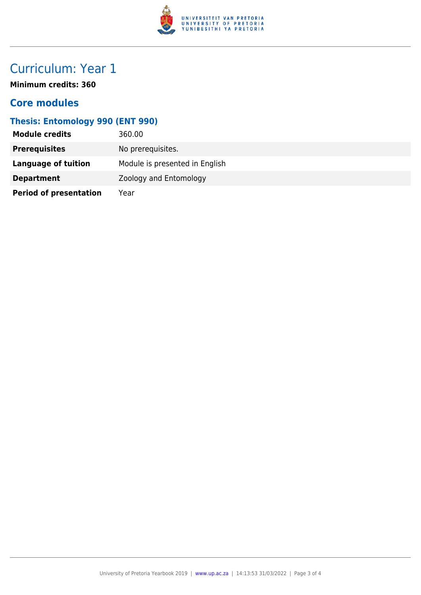

# Curriculum: Year 1

**Minimum credits: 360**

### **Core modules**

### **Thesis: Entomology 990 (ENT 990)**

| <b>Module credits</b>         | 360.00                         |
|-------------------------------|--------------------------------|
| <b>Prerequisites</b>          | No prerequisites.              |
| Language of tuition           | Module is presented in English |
| <b>Department</b>             | Zoology and Entomology         |
| <b>Period of presentation</b> | Year                           |